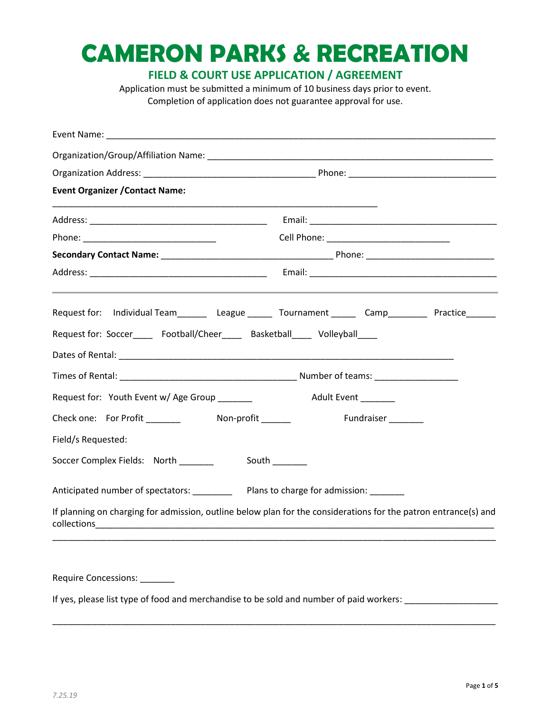# **CAMERON PARKS & RECREATION**

**FIELD & COURT USE APPLICATION / AGREEMENT**

Application must be submitted a minimum of 10 business days prior to event. Completion of application does not guarantee approval for use.

| <b>Event Organizer / Contact Name:</b>                                                                                              |                                                                                                                 |  |  |
|-------------------------------------------------------------------------------------------------------------------------------------|-----------------------------------------------------------------------------------------------------------------|--|--|
|                                                                                                                                     |                                                                                                                 |  |  |
|                                                                                                                                     |                                                                                                                 |  |  |
|                                                                                                                                     |                                                                                                                 |  |  |
|                                                                                                                                     |                                                                                                                 |  |  |
|                                                                                                                                     | Request for: Individual Team____________League _________ Tournament _________ Camp_____________Practice_______  |  |  |
| Request for: Soccer_____ Football/Cheer_____ Basketball____ Volleyball____                                                          |                                                                                                                 |  |  |
|                                                                                                                                     |                                                                                                                 |  |  |
|                                                                                                                                     |                                                                                                                 |  |  |
| Request for: Youth Event w/ Age Group _________ Adult Event _______                                                                 |                                                                                                                 |  |  |
|                                                                                                                                     | Fundraiser <sub>______</sub>                                                                                    |  |  |
| Field/s Requested:                                                                                                                  |                                                                                                                 |  |  |
| Soccer Complex Fields: North ________                                                                                               | South _______                                                                                                   |  |  |
| Anticipated number of spectators: ___________ Plans to charge for admission: _______                                                |                                                                                                                 |  |  |
| collections<br><u> 2000 - 2000 - 2000 - 2000 - 2000 - 2000 - 2000 - 2000 - 2000 - 2000 - 2000 - 2000 - 2000 - 2000 - 2000 - 200</u> | If planning on charging for admission, outline below plan for the considerations for the patron entrance(s) and |  |  |
|                                                                                                                                     |                                                                                                                 |  |  |
| Require Concessions: _______                                                                                                        |                                                                                                                 |  |  |
| If yes, please list type of food and merchandise to be sold and number of paid workers:                                             |                                                                                                                 |  |  |

\_\_\_\_\_\_\_\_\_\_\_\_\_\_\_\_\_\_\_\_\_\_\_\_\_\_\_\_\_\_\_\_\_\_\_\_\_\_\_\_\_\_\_\_\_\_\_\_\_\_\_\_\_\_\_\_\_\_\_\_\_\_\_\_\_\_\_\_\_\_\_\_\_\_\_\_\_\_\_\_\_\_\_\_\_\_\_\_\_\_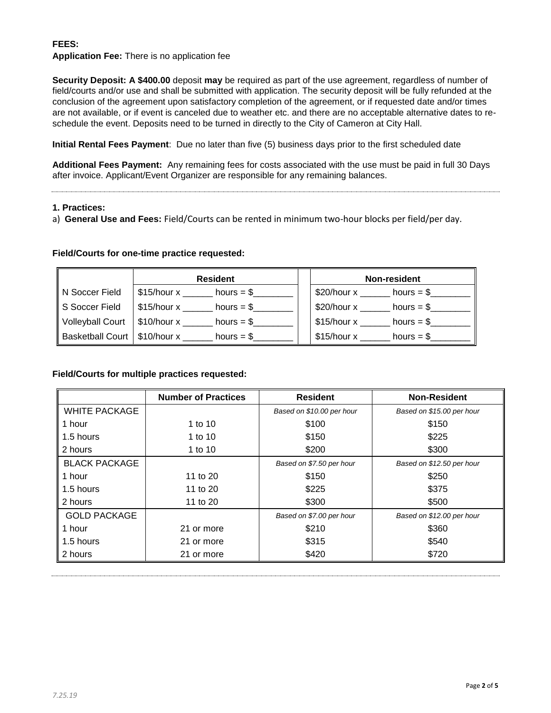## **FEES:**

## **Application Fee:** There is no application fee

**Security Deposit: A \$400.00** deposit **may** be required as part of the use agreement, regardless of number of field/courts and/or use and shall be submitted with application. The security deposit will be fully refunded at the conclusion of the agreement upon satisfactory completion of the agreement, or if requested date and/or times are not available, or if event is canceled due to weather etc. and there are no acceptable alternative dates to reschedule the event. Deposits need to be turned in directly to the City of Cameron at City Hall.

**Initial Rental Fees Payment**: Due no later than five (5) business days prior to the first scheduled date

**Additional Fees Payment:** Any remaining fees for costs associated with the use must be paid in full 30 Days after invoice. Applicant/Event Organizer are responsible for any remaining balances.

#### **1. Practices:**

a) **General Use and Fees:** Field/Courts can be rented in minimum two-hour blocks per field/per day.

## **Field/Courts for one-time practice requested:**

|                                | <b>Resident</b>                      |  | Non-resident                         |
|--------------------------------|--------------------------------------|--|--------------------------------------|
| N Soccer Field                 | $$15/hour x$ __<br>hours $= $$       |  | $$20/hour x$ _______<br>hours $=$ \$ |
| S Soccer Field                 | \$15/hour x<br>hours = $\frac{6}{2}$ |  | $$20/h$ our x<br>hours $= $$         |
| Volleyball Court               | \$10/hour x<br>hours $=$ \$          |  | \$15/hour x<br>hours $=$ \$          |
| Basketball Court   \$10/hour x | hours $=$ \$                         |  | \$15/hour x<br>hours $=$ \$          |

## **Field/Courts for multiple practices requested:**

|                      | <b>Number of Practices</b> | <b>Resident</b>           | <b>Non-Resident</b>       |
|----------------------|----------------------------|---------------------------|---------------------------|
| <b>WHITE PACKAGE</b> |                            | Based on \$10.00 per hour | Based on \$15.00 per hour |
| 1 hour               | 1 to 10                    | \$100                     | \$150                     |
| 1.5 hours            | 1 to 10                    | \$150                     | \$225                     |
| 2 hours              | 1 to 10                    | \$200                     | \$300                     |
| <b>BLACK PACKAGE</b> |                            | Based on \$7.50 per hour  | Based on \$12.50 per hour |
| 1 hour               | 11 to 20                   | \$150                     | \$250                     |
| 1.5 hours            | 11 to 20                   | \$225                     | \$375                     |
| 2 hours              | 11 to 20                   | \$300                     | \$500                     |
| <b>GOLD PACKAGE</b>  |                            | Based on \$7.00 per hour  | Based on \$12.00 per hour |
| 1 hour               | 21 or more                 | \$210                     | \$360                     |
| 1.5 hours            | 21 or more                 | \$315                     | \$540                     |
| 2 hours              | 21 or more                 | \$420                     | \$720                     |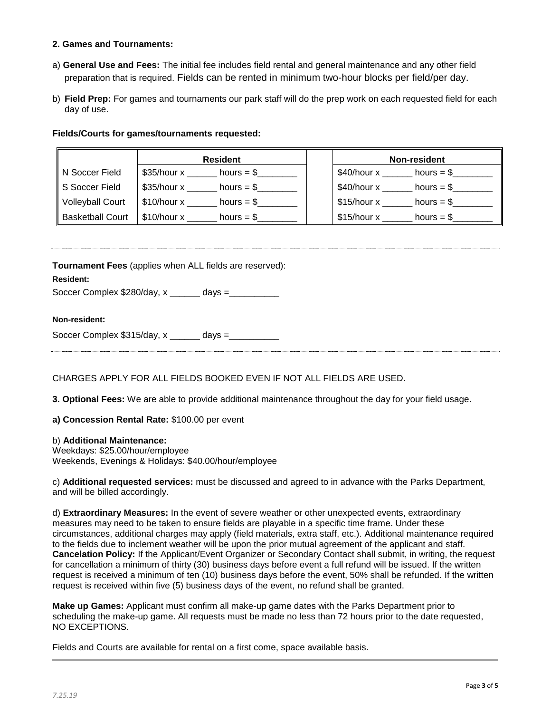#### **2. Games and Tournaments:**

- a) **General Use and Fees:** The initial fee includes field rental and general maintenance and any other field preparation that is required. Fields can be rented in minimum two-hour blocks per field/per day.
- b) **Field Prep:** For games and tournaments our park staff will do the prep work on each requested field for each day of use.

#### **Fields/Courts for games/tournaments requested:**

|                         | <b>Resident</b>               | Non-resident                |
|-------------------------|-------------------------------|-----------------------------|
| IN Soccer Field         | \$35/hour x<br>hours $=$ \$   | \$40/hour x<br>hours $=$ \$ |
| S Soccer Field          | \$35/hour x<br>hours $=$ \$   | \$40/hour x<br>hours $=$ \$ |
| Volleyball Court        | $$10/h$ our x<br>hours $=$ \$ | \$15/hour x<br>hours $=$ \$ |
| <b>Basketball Court</b> | $$10/h$ our x<br>hours $=$ \$ | \$15/hour x<br>hours $=$ \$ |

**Tournament Fees** (applies when ALL fields are reserved):

## **Resident:**

Soccer Complex \$280/day, x \_\_\_\_\_\_ days =\_\_\_\_\_\_\_\_\_\_

#### **Non-resident:**

CHARGES APPLY FOR ALL FIELDS BOOKED EVEN IF NOT ALL FIELDS ARE USED.

**3. Optional Fees:** We are able to provide additional maintenance throughout the day for your field usage.

**a) Concession Rental Rate:** \$100.00 per event

#### b) **Additional Maintenance:**

Weekdays: \$25.00/hour/employee Weekends, Evenings & Holidays: \$40.00/hour/employee

c) **Additional requested services:** must be discussed and agreed to in advance with the Parks Department, and will be billed accordingly.

d) **Extraordinary Measures:** In the event of severe weather or other unexpected events, extraordinary measures may need to be taken to ensure fields are playable in a specific time frame. Under these circumstances, additional charges may apply (field materials, extra staff, etc.). Additional maintenance required to the fields due to inclement weather will be upon the prior mutual agreement of the applicant and staff. **Cancelation Policy:** If the Applicant/Event Organizer or Secondary Contact shall submit, in writing, the request for cancellation a minimum of thirty (30) business days before event a full refund will be issued. If the written request is received a minimum of ten (10) business days before the event, 50% shall be refunded. If the written request is received within five (5) business days of the event, no refund shall be granted.

**Make up Games:** Applicant must confirm all make-up game dates with the Parks Department prior to scheduling the make-up game. All requests must be made no less than 72 hours prior to the date requested, NO EXCEPTIONS.

Fields and Courts are available for rental on a first come, space available basis.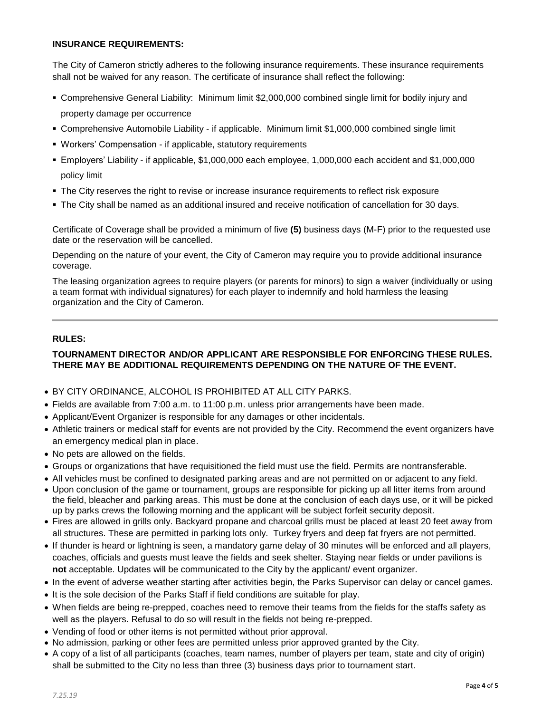### **INSURANCE REQUIREMENTS:**

The City of Cameron strictly adheres to the following insurance requirements. These insurance requirements shall not be waived for any reason. The certificate of insurance shall reflect the following:

- Comprehensive General Liability: Minimum limit \$2,000,000 combined single limit for bodily injury and property damage per occurrence
- Comprehensive Automobile Liability if applicable. Minimum limit \$1,000,000 combined single limit
- Workers' Compensation if applicable, statutory requirements
- Employers' Liability if applicable, \$1,000,000 each employee, 1,000,000 each accident and \$1,000,000 policy limit
- **The City reserves the right to revise or increase insurance requirements to reflect risk exposure**
- The City shall be named as an additional insured and receive notification of cancellation for 30 days.

Certificate of Coverage shall be provided a minimum of five **(5)** business days (M-F) prior to the requested use date or the reservation will be cancelled.

Depending on the nature of your event, the City of Cameron may require you to provide additional insurance coverage.

The leasing organization agrees to require players (or parents for minors) to sign a waiver (individually or using a team format with individual signatures) for each player to indemnify and hold harmless the leasing organization and the City of Cameron.

## **RULES:**

## **TOURNAMENT DIRECTOR AND/OR APPLICANT ARE RESPONSIBLE FOR ENFORCING THESE RULES. THERE MAY BE ADDITIONAL REQUIREMENTS DEPENDING ON THE NATURE OF THE EVENT.**

- BY CITY ORDINANCE, ALCOHOL IS PROHIBITED AT ALL CITY PARKS.
- Fields are available from 7:00 a.m. to 11:00 p.m. unless prior arrangements have been made.
- Applicant/Event Organizer is responsible for any damages or other incidentals.
- Athletic trainers or medical staff for events are not provided by the City. Recommend the event organizers have an emergency medical plan in place.
- No pets are allowed on the fields.
- Groups or organizations that have requisitioned the field must use the field. Permits are nontransferable.
- All vehicles must be confined to designated parking areas and are not permitted on or adjacent to any field.
- Upon conclusion of the game or tournament, groups are responsible for picking up all litter items from around the field, bleacher and parking areas. This must be done at the conclusion of each days use, or it will be picked up by parks crews the following morning and the applicant will be subject forfeit security deposit.
- Fires are allowed in grills only. Backyard propane and charcoal grills must be placed at least 20 feet away from all structures. These are permitted in parking lots only. Turkey fryers and deep fat fryers are not permitted.
- If thunder is heard or lightning is seen, a mandatory game delay of 30 minutes will be enforced and all players, coaches, officials and guests must leave the fields and seek shelter. Staying near fields or under pavilions is **not** acceptable. Updates will be communicated to the City by the applicant/ event organizer.
- In the event of adverse weather starting after activities begin, the Parks Supervisor can delay or cancel games.
- It is the sole decision of the Parks Staff if field conditions are suitable for play.
- When fields are being re-prepped, coaches need to remove their teams from the fields for the staffs safety as well as the players. Refusal to do so will result in the fields not being re-prepped.
- Vending of food or other items is not permitted without prior approval.
- No admission, parking or other fees are permitted unless prior approved granted by the City.
- A copy of a list of all participants (coaches, team names, number of players per team, state and city of origin) shall be submitted to the City no less than three (3) business days prior to tournament start.